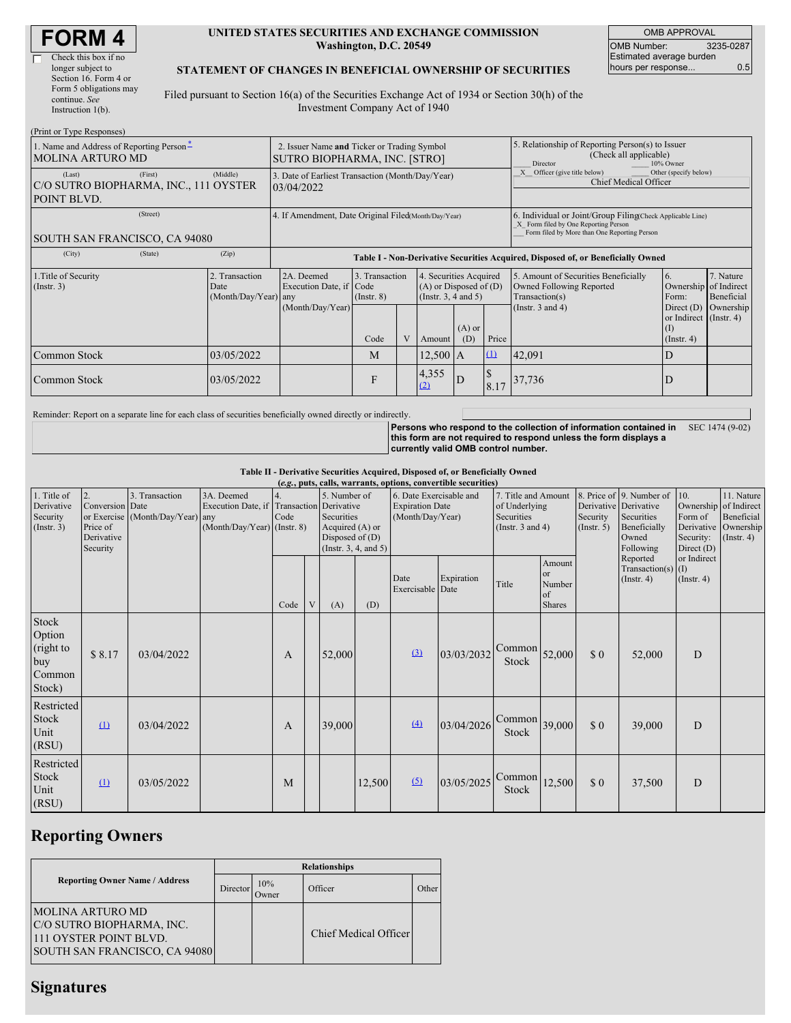| <b>FORM4</b> |
|--------------|
|--------------|

| Check this box if no   |
|------------------------|
| longer subject to      |
| Section 16. Form 4 or  |
| Form 5 obligations may |
| continue. See          |
| Instruction 1(b).      |

#### **UNITED STATES SECURITIES AND EXCHANGE COMMISSION Washington, D.C. 20549**

OMB APPROVAL OMB Number: 3235-0287 Estimated average burden hours per response... 0.5

### **STATEMENT OF CHANGES IN BENEFICIAL OWNERSHIP OF SECURITIES**

Filed pursuant to Section 16(a) of the Securities Exchange Act of 1934 or Section 30(h) of the Investment Company Act of 1940

| (Print or Type Responses)                                                                          |                                                |                                                                                  |                                   |  |                                                                              |                 |                                                                              |                                                                                                                                                    |                                                                              |                         |  |
|----------------------------------------------------------------------------------------------------|------------------------------------------------|----------------------------------------------------------------------------------|-----------------------------------|--|------------------------------------------------------------------------------|-----------------|------------------------------------------------------------------------------|----------------------------------------------------------------------------------------------------------------------------------------------------|------------------------------------------------------------------------------|-------------------------|--|
| 1. Name and Address of Reporting Person-<br><b>MOLINA ARTURO MD</b>                                |                                                | 2. Issuer Name and Ticker or Trading Symbol<br>SUTRO BIOPHARMA, INC. [STRO]      |                                   |  |                                                                              |                 |                                                                              | 5. Relationship of Reporting Person(s) to Issuer<br>(Check all applicable)<br>Director<br>10% Owner                                                |                                                                              |                         |  |
| (First)<br>(Last)<br>C/O SUTRO BIOPHARMA, INC., 111 OYSTER<br>POINT BLVD.                          | (Middle)                                       | 3. Date of Earliest Transaction (Month/Day/Year)<br>03/04/2022                   |                                   |  |                                                                              |                 | Other (specify below)<br>Officer (give title below)<br>Chief Medical Officer |                                                                                                                                                    |                                                                              |                         |  |
| (Street)<br>4. If Amendment, Date Original Filed (Month/Day/Year)<br>SOUTH SAN FRANCISCO, CA 94080 |                                                |                                                                                  |                                   |  |                                                                              |                 |                                                                              | 6. Individual or Joint/Group Filing(Check Applicable Line)<br>X Form filed by One Reporting Person<br>Form filed by More than One Reporting Person |                                                                              |                         |  |
| (City)<br>(State)                                                                                  | (Zip)                                          | Table I - Non-Derivative Securities Acquired, Disposed of, or Beneficially Owned |                                   |  |                                                                              |                 |                                                                              |                                                                                                                                                    |                                                                              |                         |  |
| 1. Title of Security<br>$($ Instr. 3 $)$                                                           | 2. Transaction<br>Date<br>(Month/Day/Year) any | 2A. Deemed<br>Execution Date, if Code<br>(Month/Day/Year)                        | 3. Transaction<br>$($ Instr. $8)$ |  | 4. Securities Acquired<br>$(A)$ or Disposed of $(D)$<br>(Insert. 3, 4 and 5) |                 |                                                                              | 5. Amount of Securities Beneficially<br><b>Owned Following Reported</b><br>Transaction(s)<br>(Instr. $3$ and $4$ )                                 | <sup>6.</sup><br>Ownership of Indirect<br>Form:                              | 7. Nature<br>Beneficial |  |
|                                                                                                    |                                                |                                                                                  | Code                              |  | Amount                                                                       | $(A)$ or<br>(D) | Price                                                                        |                                                                                                                                                    | Direct $(D)$<br>or Indirect (Instr. 4)<br>$(\mathrm{I})$<br>$($ Instr. 4 $)$ | Ownership               |  |
| Common Stock                                                                                       | 03/05/2022                                     |                                                                                  | M                                 |  | $12,500$ A                                                                   |                 | $\Box$                                                                       | 42,091                                                                                                                                             | D                                                                            |                         |  |
| Common Stock                                                                                       | 03/05/2022                                     |                                                                                  | F                                 |  | 4,355<br>(2)                                                                 | D               | ¢<br>$\triangleright$<br>8.17                                                | 37,736                                                                                                                                             | D                                                                            |                         |  |

Reminder: Report on a separate line for each class of securities beneficially owned directly or indirectly.

**Persons who respond to the collection of information contained in** SEC 1474 (9-02) **this form are not required to respond unless the form displays a currently valid OMB control number.**

#### **Table II - Derivative Securities Acquired, Disposed of, or Beneficially Owned**

| (e.g., puts, calls, warrants, options, convertible securities) |                                                             |                                                |                                                                                                 |      |   |                                                                                                  |        |                                                                       |            |                                                                             |                                               |                         |                                                                                                       |                                           |                                                                                          |
|----------------------------------------------------------------|-------------------------------------------------------------|------------------------------------------------|-------------------------------------------------------------------------------------------------|------|---|--------------------------------------------------------------------------------------------------|--------|-----------------------------------------------------------------------|------------|-----------------------------------------------------------------------------|-----------------------------------------------|-------------------------|-------------------------------------------------------------------------------------------------------|-------------------------------------------|------------------------------------------------------------------------------------------|
| 1. Title of<br>Derivative<br>Security<br>$($ Instr. 3 $)$      | 2.<br>Conversion Date<br>Price of<br>Derivative<br>Security | 3. Transaction<br>or Exercise (Month/Day/Year) | 3A. Deemed<br>Execution Date, if Transaction Derivative<br>any<br>$(Month/Day/Year)$ (Instr. 8) | Code |   | 5. Number of<br>Securities<br>Acquired (A) or<br>Disposed of $(D)$<br>(Instr. $3, 4$ , and $5$ ) |        | 6. Date Exercisable and<br><b>Expiration Date</b><br>(Month/Day/Year) |            | 7. Title and Amount<br>of Underlying<br>Securities<br>(Instr. $3$ and $4$ ) |                                               | Security<br>(Insert. 5) | 8. Price of 9. Number of<br>Derivative Derivative<br>Securities<br>Beneficially<br>Owned<br>Following | 10.<br>Form of<br>Security:<br>Direct (D) | 11. Nature<br>Ownership of Indirect<br>Beneficial<br>Derivative Ownership<br>(Insert. 4) |
|                                                                |                                                             |                                                |                                                                                                 | Code | V | (A)                                                                                              | (D)    | Date<br>Exercisable Date                                              | Expiration | Title                                                                       | Amount<br>or<br>Number<br>of<br><b>Shares</b> |                         | Reported<br>Transaction(s) $(I)$<br>(Insert. 4)                                                       | or Indirect<br>$($ Instr. 4 $)$           |                                                                                          |
| Stock<br>Option<br>(right to<br>buy<br>Common<br>Stock)        | \$8.17                                                      | 03/04/2022                                     |                                                                                                 | A    |   | 52,000                                                                                           |        | (3)                                                                   | 03/03/2032 | $\text{Common}$ 52,000<br>Stock                                             |                                               | \$0                     | 52,000                                                                                                | D                                         |                                                                                          |
| Restricted<br>Stock<br>Unit<br>(RSU)                           | $\Omega$                                                    | 03/04/2022                                     |                                                                                                 | A    |   | 39,000                                                                                           |        | (4)                                                                   | 03/04/2026 | $\text{Common}$ 39,000<br>Stock                                             |                                               | \$0                     | 39,000                                                                                                | D                                         |                                                                                          |
| Restricted<br>Stock<br>Unit<br>(RSU)                           | $\mathbf{u}$                                                | 03/05/2022                                     |                                                                                                 | M    |   |                                                                                                  | 12,500 | (5)                                                                   | 03/05/2025 | Common<br><b>Stock</b>                                                      | 12,500                                        | $\$$ 0                  | 37,500                                                                                                | D                                         |                                                                                          |

# **Reporting Owners**

|                                                                                                                  | <b>Relationships</b> |              |                       |       |  |  |  |  |  |
|------------------------------------------------------------------------------------------------------------------|----------------------|--------------|-----------------------|-------|--|--|--|--|--|
| <b>Reporting Owner Name / Address</b>                                                                            | Director             | 10%<br>Owner | Officer               | Other |  |  |  |  |  |
| <b>IMOLINA ARTURO MD</b><br>C/O SUTRO BIOPHARMA, INC.<br>111 OYSTER POINT BLVD.<br>SOUTH SAN FRANCISCO, CA 94080 |                      |              | Chief Medical Officer |       |  |  |  |  |  |

## **Signatures**